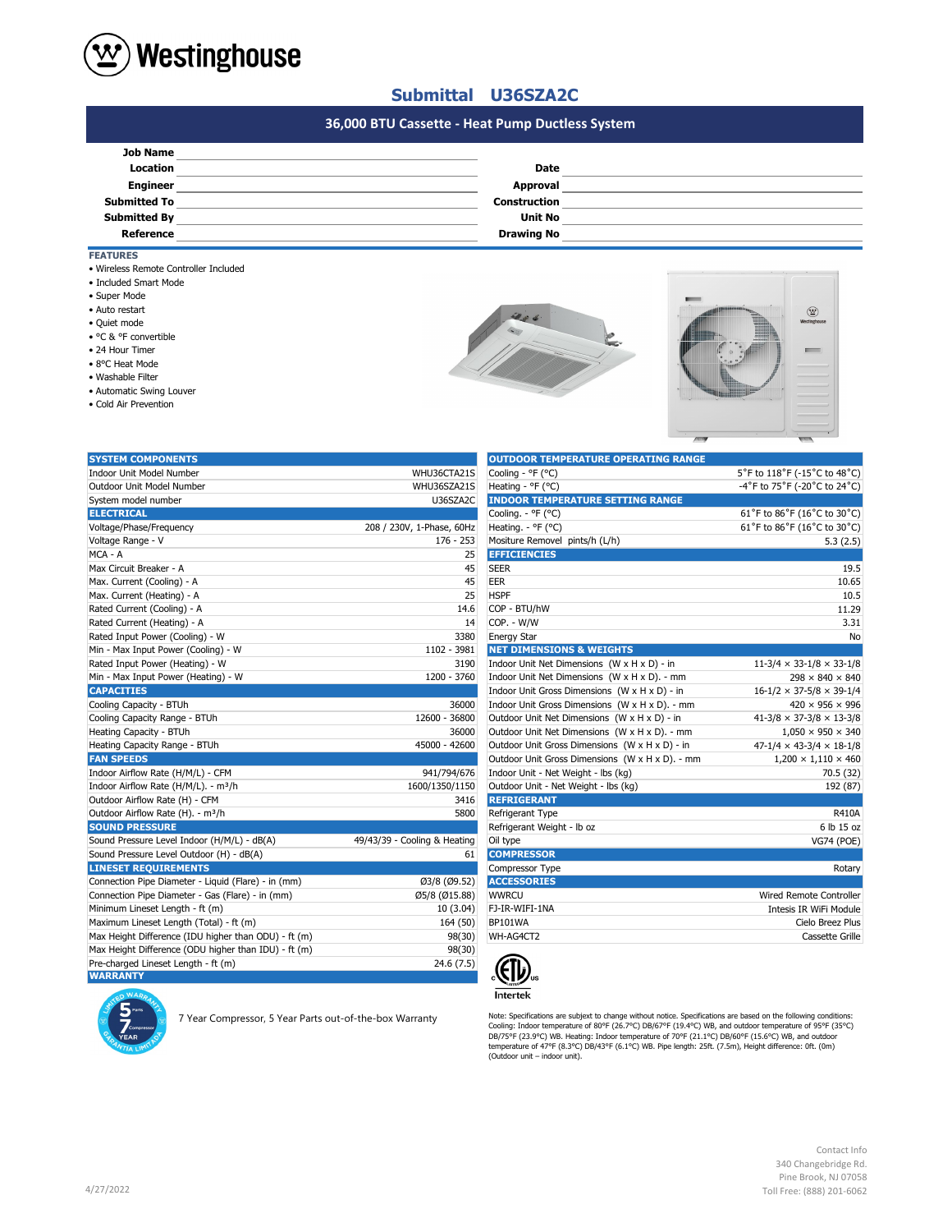

### **Submittal U36SZA2C**

# **#N/A #N/A 36,000 BTU Cassette - Heat Pump Ductless System**

| <b>Date</b>         |  |
|---------------------|--|
| Approval            |  |
| <b>Construction</b> |  |
| <b>Unit No</b>      |  |
| <b>Drawing No</b>   |  |
|                     |  |

#### **FEATURES**

- Wireless Remote Controller Included
- Included Smart Mode
- Super Mode
- Auto restart
- Quiet mode
- °C & °F convertible
- 24 Hour Timer
- 8°C Heat Mode
- Washable Filter
- Automatic Swing Louver
- Cold Air Prevention





| <b>SYSTEM COMPONENTS</b>                             |                              | <b>OUTDOOR TEMPERATURE OPERATING RANGE</b>      |                                            |
|------------------------------------------------------|------------------------------|-------------------------------------------------|--------------------------------------------|
| <b>Indoor Unit Model Number</b>                      | WHU36CTA21S                  | Cooling - °F (°C)                               | 5°F to 118°F (-15°C to 48°C)               |
| Outdoor Unit Model Number                            | WHU36SZA21S                  | Heating - °F (°C)                               | -4°F to 75°F (-20°C to 24°C)               |
| System model number                                  | U36SZA2C                     | <b>INDOOR TEMPERATURE SETTING RANGE</b>         |                                            |
| <b>ELECTRICAL</b>                                    |                              | Cooling. - °F (°C)                              | 61°F to 86°F (16°C to 30°C)                |
| Voltage/Phase/Frequency                              | 208 / 230V, 1-Phase, 60Hz    | Heating. - °F (°C)                              | 61°F to 86°F (16°C to 30°C)                |
| Voltage Range - V                                    | $176 - 253$                  | Mositure Removel pints/h (L/h)                  | 5.3(2.5)                                   |
| MCA - A                                              | 25                           | <b>EFFICIENCIES</b>                             |                                            |
| Max Circuit Breaker - A                              | 45                           | <b>SEER</b>                                     | 19.5                                       |
| Max. Current (Cooling) - A                           | 45                           | EER                                             | 10.65                                      |
| Max. Current (Heating) - A                           | 25                           | <b>HSPF</b>                                     | 10.5                                       |
| Rated Current (Cooling) - A                          | 14.6                         | COP - BTU/hW                                    | 11.29                                      |
| Rated Current (Heating) - A                          | 14                           | COP. - W/W                                      | 3.31                                       |
| Rated Input Power (Cooling) - W                      | 3380                         | <b>Energy Star</b>                              | No                                         |
| Min - Max Input Power (Cooling) - W                  | 1102 - 3981                  | <b>NET DIMENSIONS &amp; WEIGHTS</b>             |                                            |
| Rated Input Power (Heating) - W                      | 3190                         | Indoor Unit Net Dimensions (W x H x D) - in     | $11-3/4 \times 33-1/8 \times 33-1/8$       |
| Min - Max Input Power (Heating) - W                  | 1200 - 3760                  | Indoor Unit Net Dimensions (W x H x D). - mm    | $298 \times 840 \times 840$                |
| <b>CAPACITIES</b>                                    |                              | Indoor Unit Gross Dimensions (W x H x D) - in   | $16-1/2 \times 37-5/8 \times 39-1/4$       |
| Cooling Capacity - BTUh                              | 36000                        | Indoor Unit Gross Dimensions (W x H x D). - mm  | $420 \times 956 \times 996$                |
| Cooling Capacity Range - BTUh                        | 12600 - 36800                | Outdoor Unit Net Dimensions (W x H x D) - in    | $41 - 3/8 \times 37 - 3/8 \times 13 - 3/8$ |
| Heating Capacity - BTUh                              | 36000                        | Outdoor Unit Net Dimensions (W x H x D). - mm   | $1,050 \times 950 \times 340$              |
| Heating Capacity Range - BTUh                        | 45000 - 42600                | Outdoor Unit Gross Dimensions (W x H x D) - in  | $47-1/4 \times 43-3/4 \times 18-1/8$       |
| <b>FAN SPEEDS</b>                                    |                              | Outdoor Unit Gross Dimensions (W x H x D). - mm | $1,200 \times 1,110 \times 460$            |
| Indoor Airflow Rate (H/M/L) - CFM                    | 941/794/676                  | Indoor Unit - Net Weight - lbs (kg)             | 70.5 (32)                                  |
| Indoor Airflow Rate (H/M/L). - m <sup>3</sup> /h     | 1600/1350/1150               | Outdoor Unit - Net Weight - Ibs (kg)            | 192 (87)                                   |
| Outdoor Airflow Rate (H) - CFM                       | 3416                         | <b>REFRIGERANT</b>                              |                                            |
| Outdoor Airflow Rate (H). - m <sup>3</sup> /h        | 5800                         | Refrigerant Type                                | <b>R410A</b>                               |
| <b>SOUND PRESSURE</b>                                |                              | Refrigerant Weight - Ib oz                      | 6 lb 15 oz                                 |
| Sound Pressure Level Indoor (H/M/L) - dB(A)          | 49/43/39 - Cooling & Heating | Oil type                                        | <b>VG74 (POE)</b>                          |
| Sound Pressure Level Outdoor (H) - dB(A)             | 61                           | <b>COMPRESSOR</b>                               |                                            |
| <b>LINESET REQUIREMENTS</b>                          |                              | Compressor Type                                 | Rotary                                     |
| Connection Pipe Diameter - Liquid (Flare) - in (mm)  | Ø3/8 (Ø9.52)                 | <b>ACCESSORIES</b>                              |                                            |
| Connection Pipe Diameter - Gas (Flare) - in (mm)     | Ø5/8 (Ø15.88)                | <b>WWRCU</b>                                    | <b>Wired Remote Controller</b>             |
| Minimum Lineset Length - ft (m)                      | 10(3.04)                     | FJ-IR-WIFI-1NA                                  | Intesis IR WiFi Module                     |
| Maximum Lineset Length (Total) - ft (m)              | 164 (50)                     | <b>BP101WA</b>                                  | Cielo Breez Plus                           |
| Max Height Difference (IDU higher than ODU) - ft (m) | 98(30)                       | WH-AG4CT2                                       | Cassette Grille                            |
| Max Height Difference (ODU higher than IDU) - ft (m) | 98(30)                       |                                                 |                                            |
| Pre-charged Lineset Length - ft (m)                  | 24.6 (7.5)                   |                                                 |                                            |
| <b>WARRANTY</b>                                      |                              |                                                 |                                            |

| <b>OUTDOOR TEMPERATURE OPERATING RANGE</b>      |                                      |  |
|-------------------------------------------------|--------------------------------------|--|
| Cooling - °F (°C)                               | 5°F to 118°F (-15°C to 48°C)         |  |
| Heating - °F (°C)                               | -4°F to 75°F (-20°C to 24°C)         |  |
| <b>INDOOR TEMPERATURE SETTING RANGE</b>         |                                      |  |
| Cooling. - °F (°C)                              | 61°F to 86°F (16°C to 30°C)          |  |
| Heating. - ${}^{\circ}$ F ( ${}^{\circ}$ C)     | 61°F to 86°F (16°C to 30°C)          |  |
| Mositure Removel pints/h (L/h)                  | 5.3(2.5)                             |  |
| <b>EFFICIENCIES</b>                             |                                      |  |
| <b>SEER</b>                                     | 19.5                                 |  |
| EER                                             | 10.65                                |  |
| <b>HSPF</b>                                     | 10.5                                 |  |
| COP - BTU/hW                                    | 11.29                                |  |
| COP. - W/W                                      | 3.31                                 |  |
| <b>Energy Star</b>                              | No                                   |  |
| <b>NET DIMENSIONS &amp; WEIGHTS</b>             |                                      |  |
| Indoor Unit Net Dimensions (W x H x D) - in     | $11-3/4 \times 33-1/8 \times 33-1/8$ |  |
| Indoor Unit Net Dimensions (W x H x D). - mm    | $298 \times 840 \times 840$          |  |
| Indoor Unit Gross Dimensions (W x H x D) - in   | $16-1/2 \times 37-5/8 \times 39-1/4$ |  |
| Indoor Unit Gross Dimensions (W x H x D). - mm  | $420 \times 956 \times 996$          |  |
| Outdoor Unit Net Dimensions (W x H x D) - in    | $41-3/8 \times 37-3/8 \times 13-3/8$ |  |
| Outdoor Unit Net Dimensions (W x H x D). - mm   | $1,050 \times 950 \times 340$        |  |
| Outdoor Unit Gross Dimensions (W x H x D) - in  | $47-1/4 \times 43-3/4 \times 18-1/8$ |  |
| Outdoor Unit Gross Dimensions (W x H x D). - mm | $1,200 \times 1,110 \times 460$      |  |
| Indoor Unit - Net Weight - lbs (kg)             | 70.5 (32)                            |  |
| Outdoor Unit - Net Weight - Ibs (kg)            | 192 (87)                             |  |
| <b>REFRIGERANT</b>                              |                                      |  |
| Refrigerant Type                                | R410A                                |  |
| Refrigerant Weight - Ib oz                      | 6 lb 15 oz                           |  |
| Oil type                                        | <b>VG74 (POE)</b>                    |  |
| <b>COMPRESSOR</b>                               |                                      |  |
| Compressor Type                                 | Rotary                               |  |
| <b>ACCESSORIES</b>                              |                                      |  |
| <b>WWRCU</b>                                    | Wired Remote Controller              |  |
| FJ-IR-WIFI-1NA                                  | Intesis IR WiFi Module               |  |
| BP101WA                                         | Cielo Breez Plus                     |  |
| WH-AG4CT2                                       | Cassette Grille                      |  |
|                                                 |                                      |  |



Note: Specifications are subjext to change without notice. Specifications are based on the following conditions:<br>Cooling: Indoor temperature of 80°F (26.7°C) DB/67°F (19.4°C) WB, and outdoor temperature of 95°F (35°C)<br>DB/7

Contact Info 340 Changebridge Rd. Pine Brook, NJ 07058 Toll Free: (888) 201-6062

| Q<br>Parts                      |
|---------------------------------|
| Compressor                      |
| <b>YEAR</b><br>٥<br><b>TA</b> L |

7 Year Compressor, 5 Year Parts out-of-the-box Warranty